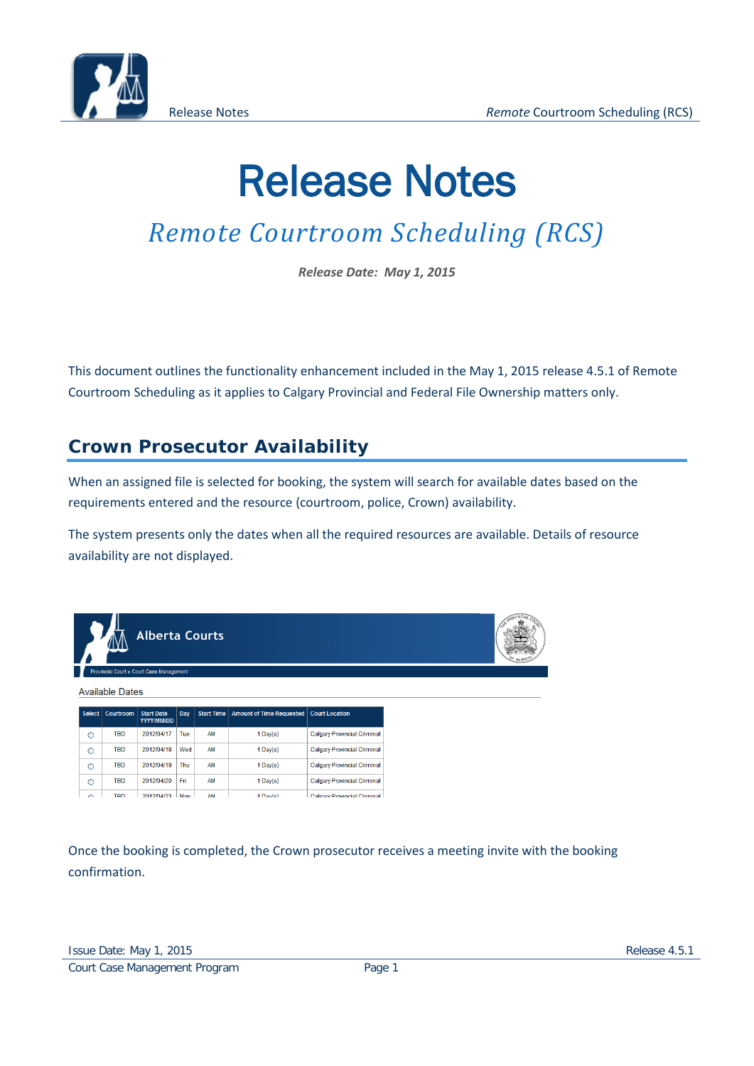

# Release Notes

## *Remote Courtroom Scheduling (RCS)*

*Release Date: May 1, 2015*

This document outlines the functionality enhancement included in the May 1, 2015 release 4.5.1 of Remote Courtroom Scheduling as it applies to Calgary Provincial and Federal File Ownership matters only.

### **Crown Prosecutor Availability**

When an assigned file is selected for booking, the system will search for available dates based on the requirements entered and the resource (courtroom, police, Crown) availability.

The system presents only the dates when all the required resources are available. Details of resource availability are not displayed.

|         | TYTY                   | <b>Alberta Courts</b>                           |     |                   |                                 |                                    | REPROVINCIAL CA |
|---------|------------------------|-------------------------------------------------|-----|-------------------|---------------------------------|------------------------------------|-----------------|
|         |                        | <b>Provincial Court » Court Case Management</b> |     |                   |                                 |                                    |                 |
|         | <b>Available Dates</b> |                                                 |     |                   |                                 |                                    |                 |
| Select  | Courtroom              | <b>Start Date</b><br>YYYY/MM/DD                 | Day | <b>Start Time</b> | <b>Amount of Time Requested</b> | <b>Court Location</b>              |                 |
| $\circ$ | <b>TBD</b>             | 2012/04/17                                      | Tue | AM                | $1$ Day(s)                      | <b>Calgary Provincial Criminal</b> |                 |
| $\circ$ | <b>TBD</b>             | 2012/04/18                                      | Wed | AM                | $1$ Day(s)                      | <b>Calgary Provincial Criminal</b> |                 |
| $\circ$ | <b>TBD</b>             | 2012/04/19                                      | Thu | <b>AM</b>         | $1$ Day(s)                      | <b>Calgary Provincial Criminal</b> |                 |
| $\circ$ | TBD                    | 2012/04/20                                      | Fri | <b>AM</b>         | $1$ Day(s)                      | <b>Calgary Provincial Criminal</b> |                 |
| $\sim$  | <b>TRD</b>             | 2012/04/23                                      | Mon | AM                | 1 Dowlet                        | Colnory Provincial Criminal        |                 |

Once the booking is completed, the Crown prosecutor receives a meeting invite with the booking confirmation.